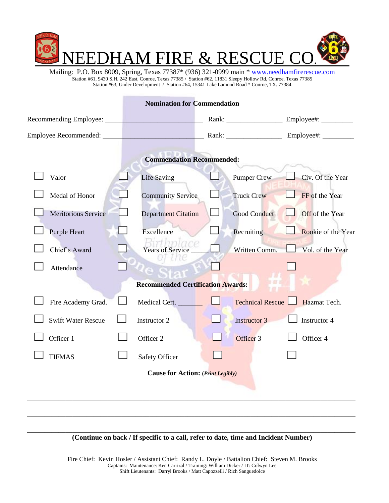

Mailing: P.O. Box 8009, Spring, Texas 77387\* (936) 321-0999 main \* [www.needhamfirerescue.com](http://www.needhamfirerescue.com/) Station #61, 9430 S.H. 242 East, Conroe, Texas 77385 / Station #62, 11831 Sleepy Hollow Rd, Conroe, Texas 77385 Station #63, Under Development / Station #64, 15341 Lake Lamond Road \* Conroe, TX. 77384

|                                          | <b>Nomination for Commendation</b> |                     |                    |
|------------------------------------------|------------------------------------|---------------------|--------------------|
|                                          |                                    |                     |                    |
|                                          |                                    |                     |                    |
|                                          | <b>Commendation Recommended:</b>   |                     |                    |
| Valor                                    | <b>Life Saving</b>                 | <b>Pumper Crew</b>  | Civ. Of the Year   |
| Medal of Honor                           | <b>Community Service</b>           | <b>Truck Crew</b>   | FF of the Year     |
| <b>Meritorious Service</b>               | <b>Department Citation</b>         | <b>Good Conduct</b> | Off of the Year    |
| <b>Purple Heart</b>                      | Excellence                         | Recruiting          | Rookie of the Year |
| Chief's Award                            | <b>Years of Service</b>            | Written Comm.       | Vol. of the Year   |
| Attendance                               |                                    |                     |                    |
| <b>Recommended Certification Awards:</b> |                                    |                     |                    |
| Fire Academy Grad.                       | Medical Cert.                      | Technical Rescue    | Hazmat Tech.       |
| <b>Swift Water Rescue</b>                | Instructor 2                       | <b>Instructor 3</b> | Instructor 4       |
| Officer 1                                | Officer 2                          | Officer 3           | Officer 4          |
| <b>TIFMAS</b>                            | <b>Safety Officer</b>              |                     |                    |
| <b>Cause for Action: (Print Legibly)</b> |                                    |                     |                    |
|                                          |                                    |                     |                    |
|                                          |                                    |                     |                    |

**\_\_\_\_\_\_\_\_\_\_\_\_\_\_\_\_\_\_\_\_\_\_\_\_\_\_\_\_\_\_\_\_\_\_\_\_\_\_\_\_\_\_\_\_\_\_\_\_\_\_\_\_\_\_\_\_\_\_\_\_\_\_\_\_\_\_\_\_\_\_\_\_\_\_\_\_\_\_\_\_\_\_\_\_\_\_\_\_\_\_\_\_\_\_ (Continue on back / If specific to a call, refer to date, time and Incident Number)**

Fire Chief: Kevin Hosler / Assistant Chief: Randy L. Doyle / Battalion Chief: Steven M. Brooks Captains: Maintenance: Ken Carrizal / Training: William Dicker / IT: Colwyn Lee Shift Lieutenants: Darryl Brooks / Matt Capozzelli / Rich Sanguedolce